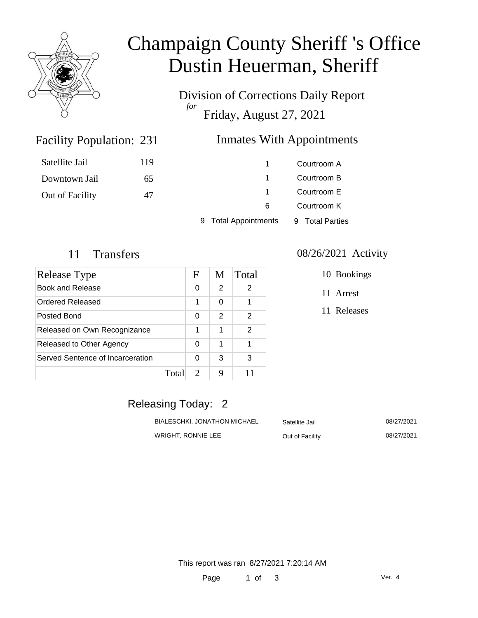

# Champaign County Sheriff 's Office Dustin Heuerman, Sheriff

Division of Corrections Daily Report *for* Friday, August 27, 2021

### Facility Population: 231

### Inmates With Appointments

| Satellite Jail  | 119 |                                | Courtroom A     |
|-----------------|-----|--------------------------------|-----------------|
| Downtown Jail   | 65  |                                | Courtroom B     |
| Out of Facility | 47  |                                | Courtroom E     |
|                 |     | 6                              | Courtroom K     |
|                 |     | <b>Total Appointments</b><br>9 | 9 Total Parties |

| Release Type                     |       | F                     | M             | Total |
|----------------------------------|-------|-----------------------|---------------|-------|
| Book and Release                 |       | 0                     | $\mathcal{P}$ | 2     |
| Ordered Released                 |       | 1                     | 0             |       |
| Posted Bond                      |       | 0                     | $\mathcal{P}$ | 2     |
| Released on Own Recognizance     |       | 1                     | 1             | 2     |
| Released to Other Agency         |       | 0                     | 1             |       |
| Served Sentence of Incarceration |       | 0                     | 3             | 3     |
|                                  | Total | $\mathcal{D}_{\cdot}$ | 9             | 11    |

#### 11 Transfers 08/26/2021 Activity

10 Bookings

11 Arrest

11 Releases

### Releasing Today: 2

| BIALESCHKI, JONATHON MICHAEL | Satellite Jail  | 08/27/2021 |
|------------------------------|-----------------|------------|
| WRIGHT. RONNIE LEE           | Out of Facility | 08/27/2021 |

This report was ran 8/27/2021 7:20:14 AM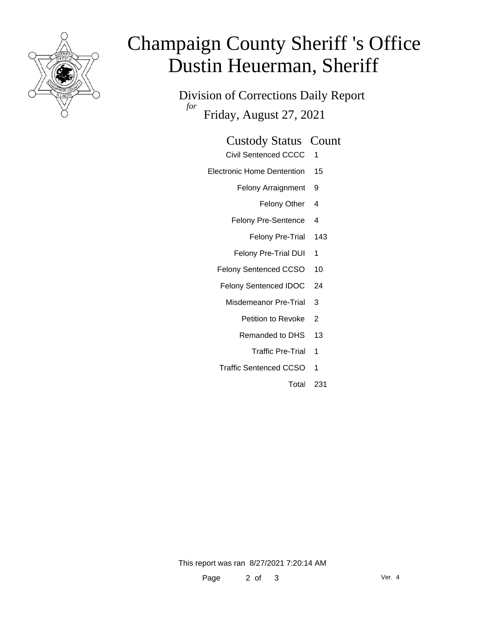

# Champaign County Sheriff 's Office Dustin Heuerman, Sheriff

Division of Corrections Daily Report *for* Friday, August 27, 2021

### Custody Status Count

- Civil Sentenced CCCC 1
- Electronic Home Dentention 15
	- Felony Arraignment 9
		- Felony Other 4
	- Felony Pre-Sentence 4
		- Felony Pre-Trial 143
	- Felony Pre-Trial DUI 1
	- Felony Sentenced CCSO 10
	- Felony Sentenced IDOC 24
		- Misdemeanor Pre-Trial 3
			- Petition to Revoke 2
			- Remanded to DHS 13
				- Traffic Pre-Trial 1
	- Traffic Sentenced CCSO 1
		- Total 231

This report was ran 8/27/2021 7:20:14 AM